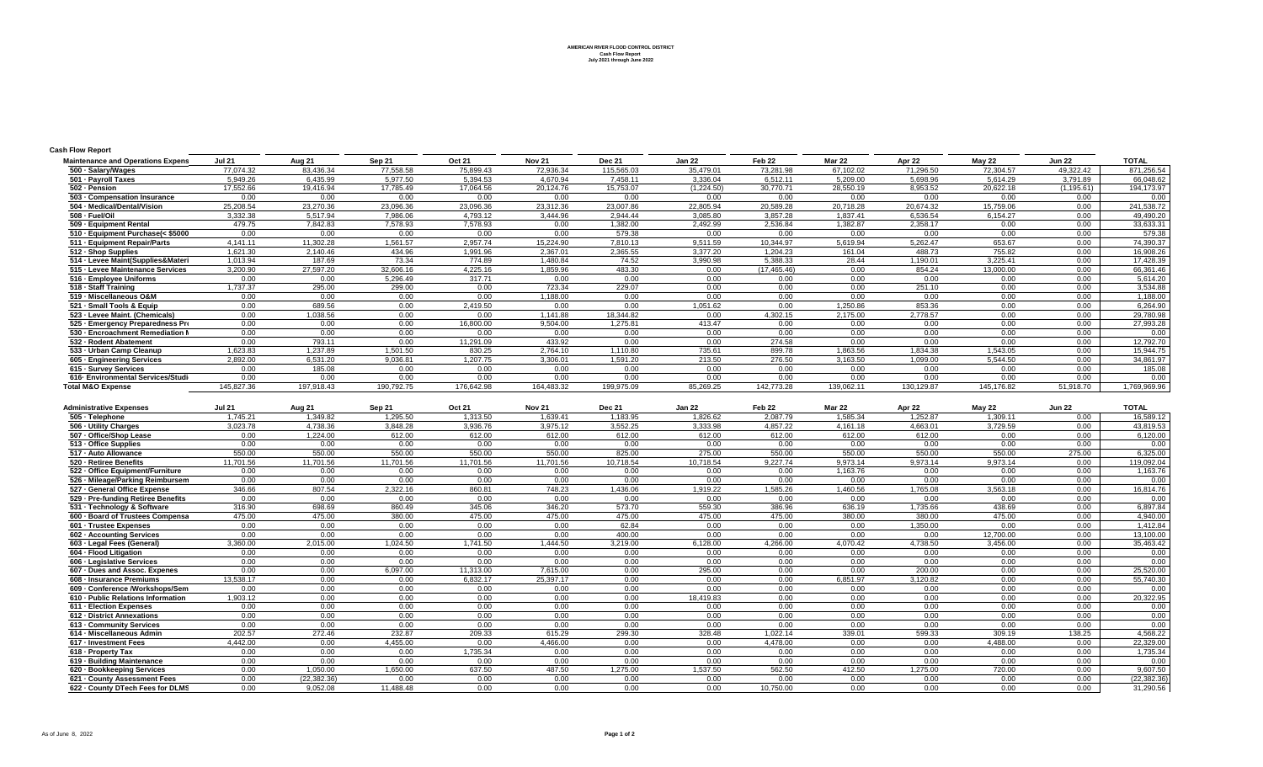**AMERICAN RIVER FLOOD CONTROL DISTRICT Cash Flow Report July 2021 through June 2022**

## **Cash Flow Report**

| <b>Maintenance and Operations Expens</b> | <b>Jul 21</b> | Aug 21     | Sep 21     | Oct 21     | <b>Nov 21</b> | <b>Dec 21</b> | Jan 22     | Feb 22       | Mar 22     | Apr 22     | May 22     | <b>Jun 22</b> | <b>TOTAL</b> |
|------------------------------------------|---------------|------------|------------|------------|---------------|---------------|------------|--------------|------------|------------|------------|---------------|--------------|
| 500 · Salary/Wages                       | 77,074.32     | 83,436.34  | 77,558.58  | 75,899.43  | 72,936.34     | 115,565.03    | 35,479.01  | 73,281.98    | 67,102.02  | 71,296.50  | 72,304.57  | 49.322.42     | 871,256.54   |
| 501 - Pavroll Taxes                      | 5.949.26      | 6,435.99   | 5.977.50   | 5.394.53   | 4.670.94      | 7,458.11      | 3.336.04   | 6,512.11     | 5.209.00   | 5,698.96   | 5.614.29   | 3,791.89      | 66,048.62    |
| 502 - Pension                            | 17,552.66     | 19,416.94  | 17,785.49  | 17,064.56  | 20,124.76     | 15,753.07     | (1,224.50) | 30,770.71    | 28,550.19  | 8,953.52   | 20,622.18  | (1, 195.61)   | 194,173.97   |
| 503 - Compensation Insurance             | 0.00          | 0.00       | 0.00       | 0.00       | 0.00          | 0.00          | 0.00       | 0.00         | 0.00       | 0.00       | 0.00       | 0.00          | 0.00         |
| 504 · Medical/Dental/Vision              | 25.208.54     | 23.270.36  | 23.096.36  | 23.096.36  | 23.312.36     | 23.007.86     | 22.805.94  | 20.589.28    | 20.718.28  | 20.674.32  | 15.759.06  | 0.00          | 241,538.72   |
| 508 - Fuel/Oil                           | 3,332.38      | 5,517.94   | 7,986.06   | 4,793.12   | 3,444.96      | 2,944.44      | 3,085.80   | 3,857.28     | 1,837.41   | 6,536.54   | 6,154.27   | 0.00          | 49,490.20    |
| 509 - Equipment Rental                   | 479.75        | 7,842.83   | 7,578.93   | 7.578.93   | 0.00          | 1,382.00      | 2,492.99   | 2,536.84     | 1,382.87   | 2,358.17   | 0.00       | 0.00          | 33,633.31    |
| 510 - Equipment Purchase(< \$5000        | 0.00          | 0.00       | 0.00       | 0.00       | 0.00          | 579.38        | 0.00       | 0.00         | 0.00       | 0.00       | 0.00       | 0.00          | 579.38       |
| 511 - Equipment Repair/Parts             | 4.141.11      | 11,302.28  | 1,561.57   | 2.957.74   | 15,224.90     | 7,810.13      | 9,511.59   | 10,344.97    | 5,619.94   | 5,262.47   | 653.67     | 0.00          | 74,390.37    |
| 512 · Shop Supplies                      | 1,621.30      | 2,140.46   | 434.96     | 1.991.96   | 2,367.01      | 2,365.55      | 3.377.20   | 1.204.23     | 161.04     | 488.73     | 755.82     | 0.00          | 16,908.26    |
| 514 - Levee Maint(Supplies&Materi        | 1,013.94      | 187.69     | 73.34      | 774.89     | 1,480.84      | 74.52         | 3,990.98   | 5,388.33     | 28.44      | 1,190.01   | 3,225.41   | 0.00          | 17,428.39    |
| 515 - Levee Maintenance Services         | 3.200.90      | 27,597.20  | 32,606.16  | 4.225.16   | 1.859.96      | 483.30        | 0.00       | (17, 465.46) | 0.00       | 854.24     | 13,000.00  | 0.00          | 66,361.46    |
| 516 - Employee Uniforms                  | 0.00          | 0.00       | 5,296.49   | 317.71     | 0.00          | 0.00          | 0.00       | 0.00         | 0.00       | 0.00       | 0.00       | 0.00          | 5,614.20     |
| 518 - Staff Training                     | 1.737.37      | 295.00     | 299.00     | 0.00       | 723.34        | 229.07        | 0.00       | 0.00         | 0.00       | 251.10     | 0.00       | 0.00          | 3,534.88     |
| 519 - Miscellaneous O&M                  | 0.00          | 0.00       | 0.00       | 0.00       | 1.188.00      | 0.00          | 0.00       | 0.00         | 0.00       | 0.00       | 0.00       | 0.00          | 1,188.00     |
| 521 - Small Tools & Equip                | 0.00          | 689.56     | 0.00       | 2,419.50   | 0.00          | 0.00          | 1,051.62   | 0.00         | 1,250.86   | 853.36     | 0.00       | 0.00          | 6,264.90     |
| 523 - Levee Maint. (Chemicals)           | 0.00          | 1,038.56   | 0.00       | 0.00       | 1,141.88      | 18,344.82     | 0.00       | 4,302.15     | 2,175.00   | 2,778.57   | 0.00       | 0.00          | 29,780.98    |
| 525 - Emergency Preparedness Pro         | 0.00          | 0.00       | 0.00       | 16,800.00  | 9.504.00      | 1,275.81      | 413.47     | 0.00         | 0.00       | 0.00       | 0.00       | 0.00          | 27,993.28    |
| 530 - Encroachment Remediation N         | 0.00          | 0.00       | 0.00       | 0.00       | 0.00          | 0.00          | 0.00       | 0.00         | 0.00       | 0.00       | 0.00       | 0.00          | 0.00         |
| 532 - Rodent Abatement                   | 0.00          | 793.11     | 0.00       | 11,291.09  | 433.92        | 0.00          | 0.00       | 274.58       | 0.00       | 0.00       | 0.00       | 0.00          | 12,792.70    |
| 533 - Urban Camp Cleanup                 | 1,623.83      | 1,237.89   | 1,501.50   | 830.25     | 2,764.10      | 1,110.80      | 735.61     | 899.78       | 1,863.56   | 1,834.38   | 1,543.05   | 0.00          | 15,944.75    |
| 605 - Engineering Services               | 2,892.00      | 6,531.20   | 9,036.81   | 1,207.75   | 3,306.01      | 1,591.20      | 213.50     | 276.50       | 3,163.50   | 1,099.00   | 5,544.50   | 0.00          | 34,861.97    |
| 615 - Survey Services                    | 0.00          | 185.08     | 0.00       | 0.00       | 0.00          | 0.00          | 0.00       | 0.00         | 0.00       | 0.00       | 0.00       | 0.00          | 185.08       |
| 616- Environmental Services/Studi        | 0.00          | 0.00       | 0.00       | 0.00       | 0.00          | 0.00          | 0.00       | 0.00         | 0.00       | 0.00       | 0.00       | 0.00          | 0.00         |
| <b>Total M&amp;O Expense</b>             | 145.827.36    | 197.918.43 | 190.792.75 | 176.642.98 | 164.483.32    | 199.975.09    | 85.269.25  | 142.773.28   | 139.062.11 | 130.129.87 | 145.176.82 | 51.918.70     | 1,769,969.96 |

| <b>Administrative Expenses</b>     | <b>Jul 21</b> | Aug 21        | Sep 21    | <b>Oct 21</b> | <b>Nov 21</b> | <b>Dec 21</b> | <b>Jan 22</b> | Feb <sub>22</sub> | <b>Mar 22</b> | Apr 22   | May 22    | <b>Jun 22</b> | <b>TOTAL</b> |
|------------------------------------|---------------|---------------|-----------|---------------|---------------|---------------|---------------|-------------------|---------------|----------|-----------|---------------|--------------|
| 505 - Telephone                    | 1.745.21      | 1,349.82      | 1,295.50  | 1,313.50      | 1.639.41      | 1,183.95      | 1,826.62      | 2,087.79          | 1.585.34      | 1,252.87 | 1,309.11  | 0.00          | 16,589.12    |
| 506 - Utility Charges              | 3.023.78      | 4.738.36      | 3.848.28  | 3.936.76      | 3.975.12      | 3.552.25      | 3.333.98      | 4.857.22          | 4.161.18      | 4.663.01 | 3.729.59  | 0.00          | 43.819.53    |
| 507 - Office/Shop Lease            | 0.00          | 1.224.00      | 612.00    | 612.00        | 612.00        | 612.00        | 612.00        | 612.00            | 612.00        | 612.00   | 0.00      | 0.00          | 6,120.00     |
| 513 - Office Supplies              | 0.00          | 0.00          | 0.00      | 0.00          | 0.00          | 0.00          | 0.00          | 0.00              | 0.00          | 0.00     | 0.00      | 0.00          | 0.00         |
| 517 - Auto Allowance               | 550.00        | 550.00        | 550.00    | 550.00        | 550.00        | 825.00        | 275.00        | 550.00            | 550.00        | 550.00   | 550.00    | 275.00        | 6,325.00     |
| 520 - Retiree Benefits             | 11.701.56     | 11.701.56     | 11.701.56 | 11.701.56     | 11.701.56     | 10.718.54     | 10.718.54     | 9.227.74          | 9.973.14      | 9.973.14 | 9.973.14  | 0.00          | 119.092.04   |
| 522 - Office Equipment/Furniture   | 0.00          | 0.00          | 0.00      | 0.00          | 0.00          | 0.00          | 0.00          | 0.00              | 1.163.76      | 0.00     | 0.00      | 0.00          | 1,163.76     |
| 526 - Mileage/Parking Reimbursem   | 0.00          | 0.00          | 0.00      | 0.00          | 0.00          | 0.00          | 0.00          | 0.00              | 0.00          | 0.00     | 0.00      | 0.00          | 0.00         |
| 527 - General Office Expense       | 346.66        | 807.54        | 2.322.16  | 860.81        | 748.23        | 1.436.06      | 1.919.22      | 1.585.26          | 1.460.56      | 1.765.08 | 3.563.18  | 0.00          | 16.814.76    |
| 529 - Pre-funding Retiree Benefits | 0.00          | 0.00          | 0.00      | 0.00          | 0.00          | 0.00          | 0.00          | 0.00              | 0.00          | 0.00     | 0.00      | 0.00          | 0.00         |
| 531 - Technology & Software        | 316.90        | 698.69        | 860.49    | 345.06        | 346.20        | 573.70        | 559.30        | 386.96            | 636.19        | 1.735.66 | 438.69    | 0.00          | 6,897.84     |
| 600 - Board of Trustees Compensa   | 475.00        | 475.00        | 380.00    | 475.00        | 475.00        | 475.00        | 475.00        | 475.00            | 380.00        | 380.00   | 475.00    | 0.00          | 4,940.00     |
| 601 - Trustee Expenses             | 0.00          | 0.00          | 0.00      | 0.00          | 0.00          | 62.84         | 0.00          | 0.00              | 0.00          | 1,350.00 | 0.00      | 0.00          | 1,412.84     |
| 602 - Accounting Services          | 0.00          | 0.00          | 0.00      | 0.00          | 0.00          | 400.00        | 0.00          | 0.00              | 0.00          | 0.00     | 12.700.00 | 0.00          | 13,100.00    |
| 603 - Legal Fees (General)         | 3.360.00      | 2.015.00      | 1.024.50  | 1.741.50      | 1.444.50      | 3.219.00      | 6.128.00      | 4.266.00          | 4.070.42      | 4.738.50 | 3.456.00  | 0.00          | 35,463.42    |
| 604 - Flood Litigation             | 0.00          | 0.00          | 0.00      | 0.00          | 0.00          | 0.00          | 0.00          | 0.00              | 0.00          | 0.00     | 0.00      | 0.00          | 0.00         |
| 606 - Legislative Services         | 0.00          | 0.00          | 0.00      | 0.00          | 0.00          | 0.00          | 0.00          | 0.00              | 0.00          | 0.00     | 0.00      | 0.00          | 0.00         |
| 607 - Dues and Assoc. Expenes      | 0.00          | 0.00          | 6,097.00  | 11.313.00     | 7.615.00      | 0.00          | 295.00        | 0.00              | 0.00          | 200.00   | 0.00      | 0.00          | 25,520.00    |
| 608 - Insurance Premiums           | 13.538.17     | 0.00          | 0.00      | 6.832.17      | 25.397.17     | 0.00          | 0.00          | 0.00              | 6.851.97      | 3.120.82 | 0.00      | 0.00          | 55.740.30    |
| 609 - Conference /Workshops/Sem    | 0.00          | 0.00          | 0.00      | 0.00          | 0.00          | 0.00          | 0.00          | 0.00              | 0.00          | 0.00     | 0.00      | 0.00          | 0.00         |
| 610 - Public Relations Information | 1.903.12      | 0.00          | 0.00      | 0.00          | 0.00          | 0.00          | 18.419.83     | 0.00              | 0.00          | 0.00     | 0.00      | 0.00          | 20,322.95    |
| 611 - Election Expenses            | 0.00          | 0.00          | 0.00      | 0.00          | 0.00          | 0.00          | 0.00          | 0.00              | 0.00          | 0.00     | 0.00      | 0.00          | 0.00         |
| 612 - District Annexations         | 0.00          | 0.00          | 0.00      | 0.00          | 0.00          | 0.00          | 0.00          | 0.00              | 0.00          | 0.00     | 0.00      | 0.00          | 0.00         |
| 613 - Community Services           | 0.00          | 0.00          | 0.00      | 0.00          | 0.00          | 0.00          | 0.00          | 0.00              | 0.00          | 0.00     | 0.00      | 0.00          | 0.00         |
| 614 - Miscellaneous Admin          | 202.57        | 272.46        | 232.87    | 209.33        | 615.29        | 299.30        | 328.48        | 1.022.14          | 339.01        | 599.33   | 309.19    | 138.25        | 4,568.22     |
| 617 - Investment Fees              | 4.442.00      | 0.00          | 4.455.00  | 0.00          | 4.466.00      | 0.00          | 0.00          | 4,478.00          | 0.00          | 0.00     | 4,488.00  | 0.00          | 22,329.00    |
| 618 - Property Tax                 | 0.00          | 0.00          | 0.00      | 1.735.34      | 0.00          | 0.00          | 0.00          | 0.00              | 0.00          | 0.00     | 0.00      | 0.00          | 1,735.34     |
| 619 - Building Maintenance         | 0.00          | 0.00          | 0.00      | 0.00          | 0.00          | 0.00          | 0.00          | 0.00              | 0.00          | 0.00     | 0.00      | 0.00          | 0.00         |
| 620 - Bookkeeping Services         | 0.00          | 1.050.00      | 1,650.00  | 637.50        | 487.50        | 1,275.00      | 1,537.50      | 562.50            | 412.50        | 1,275.00 | 720.00    | 0.00          | 9,607.50     |
| 621 - County Assessment Fees       | 0.00          | (22, 382, 36) | 0.00      | 0.00          | 0.00          | 0.00          | 0.00          | 0.00              | 0.00          | 0.00     | 0.00      | 0.00          | (22, 382.36) |
| 622 - County DTech Fees for DLMS   | 0.00          | 9,052.08      | 11.488.48 | 0.00          | 0.00          | 0.00          | 0.00          | 10,750.00         | 0.00          | 0.00     | 0.00      | 0.00          | 31,290.56    |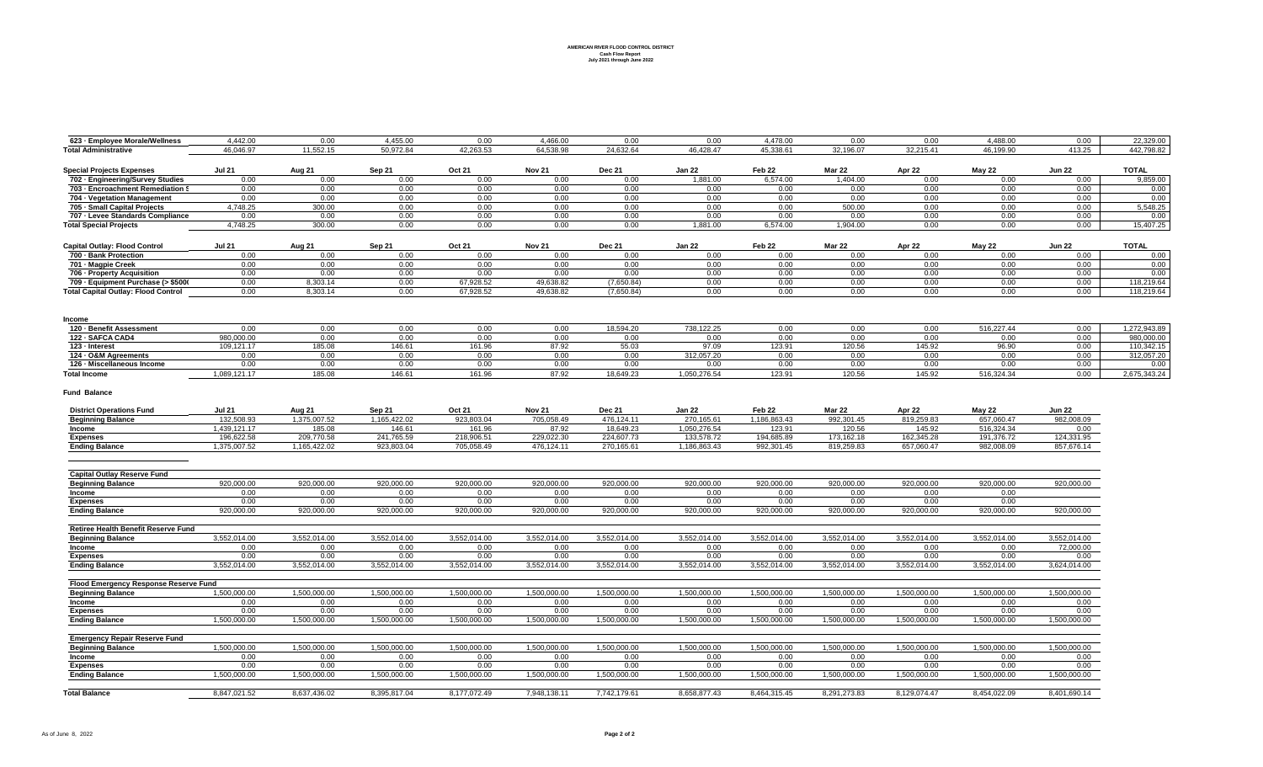## **AMERICAN RIVER FLOOD CONTROL DISTRICT Cash Flow Report July 2021 through June 2022**

| 623 - Employee Morale/Wellness             | 4.442.00      | 0.00         | 4,455.00     | 0.00         | 4,466.00      | 0.00          | 0.00          | 4,478.00          | 0.00          | 0.00         | 4,488.00      | 0.00          | 22,329.00    |
|--------------------------------------------|---------------|--------------|--------------|--------------|---------------|---------------|---------------|-------------------|---------------|--------------|---------------|---------------|--------------|
| <b>Total Administrative</b>                | 46.046.97     | 11,552.15    | 50,972.84    | 42,263.53    | 64,538.98     | 24,632.64     | 46,428.47     | 45,338.61         | 32,196.07     | 32,215.41    | 46.199.90     | 413.25        | 442,798.82   |
| <b>Special Projects Expenses</b>           | <b>Jul 21</b> | Aug 21       | Sep 21       | Oct 21       | <b>Nov 21</b> | <b>Dec 21</b> | <b>Jan 22</b> | Feb 22            | <b>Mar 22</b> | Apr 22       | May 22        | <b>Jun 22</b> | <b>TOTAL</b> |
| 702 - Engineering/Survey Studies           | 0.00          | 0.00         | 0.00         | 0.00         | 0.00          | 0.00          | 1.881.00      | 6.574.00          | 1.404.00      | 0.00         | 0.00          | 0.00          | 9.859.00     |
| 703 - Encroachment Remediation §           | 0.00          | 0.00         | 0.00         | 0.00         | 0.00          | 0.00          | 0.00          | 0.00              | 0.00          | 0.00         | 0.00          | 0.00          | 0.00         |
| 704 - Vegetation Management                | 0.00          | 0.00         | 0.00         | 0.00         | 0.00          | 0.00          | 0.00          | 0.00              | 0.00          | 0.00         | 0.00          | 0.00          | 0.00         |
| 705 - Small Capital Projects               | 4.748.25      | 300.00       | 0.00         | 0.00         | 0.00          | 0.00          | 0.00          | 0.00              | 500.00        | 0.00         | 0.00          | 0.00          | 5.548.25     |
| 707 - Levee Standards Compliance           | 0.00          | 0.00         | 0.00         | 0.00         | 0.00          | 0.00          | 0.00          | 0.00              | 0.00          | 0.00         | 0.00          | 0.00          | 0.00         |
| <b>Total Special Projects</b>              | 4,748.25      | 300.00       | 0.00         | 0.00         | 0.00          | 0.00          | 1,881.00      | 6,574.00          | 1,904.00      | 0.00         | 0.00          | 0.00          | 15,407.25    |
|                                            |               |              |              |              |               |               |               |                   |               |              |               |               |              |
| <b>Capital Outlay: Flood Control</b>       | <b>Jul 21</b> | Aug 21       | Sep 21       | Oct 21       | <b>Nov 21</b> | <b>Dec 21</b> | <b>Jan 22</b> | Feb 22            | Mar 22        | Apr 22       | <b>May 22</b> | <b>Jun 22</b> | <b>TOTAL</b> |
| 700 - Bank Protection                      | 0.00          | 0.00         | 0.00         | 0.00         | 0.00          | 0.00          | 0.00          | 0.00              | 0.00          | 0.00         | 0.00          | 0.00          | 0.00         |
| 701 - Magpie Creek                         | 0.00          | 0.00         | 0.00         | 0.00         | 0.00          | 0.00          | 0.00          | 0.00              | 0.00          | 0.00         | 0.00          | 0.00          | 0.00         |
| 706 - Property Acquisition                 | 0.00          | 0.00         | 0.00         | 0.00         | 0.00          | 0.00          | 0.00          | 0.00              | 0.00          | 0.00         | 0.00          | 0.00          | 0.00         |
| 709 - Equipment Purchase (> \$5000         | 0.00          | 8.303.14     | 0.00         | 67.928.52    | 49.638.82     | (7.650.84)    | 0.00          | 0.00              | 0.00          | 0.00         | 0.00          | 0.00          | 118,219.64   |
| <b>Total Capital Outlay: Flood Control</b> | 0.00          | 8,303.14     | 0.00         | 67,928.52    | 49,638.82     | (7,650.84)    | 0.00          | 0.00              | 0.00          | 0.00         | 0.00          | 0.00          | 118,219.64   |
|                                            |               |              |              |              |               |               |               |                   |               |              |               |               |              |
| Income<br>120 - Benefit Assessment         | 0.00          | 0.00         | 0.00         | 0.00         | 0.00          | 18,594.20     | 738,122.25    | 0.00              | 0.00          | 0.00         | 516,227.44    | 0.00          | 1.272.943.89 |
| 122 - SAFCA CAD4                           | 980,000.00    | 0.00         | 0.00         | 0.00         | 0.00          | 0.00          | 0.00          | 0.00              | 0.00          | 0.00         | 0.00          | 0.00          | 980,000.00   |
| 123 - Interest                             | 109.121.17    | 185.08       | 146.61       | 161.96       | 87.92         | 55.03         | 97.09         | 123.91            | 120.56        | 145.92       | 96.90         | 0.00          | 110,342.15   |
| 124 - O&M Agreements                       | 0.00          | 0.00         | 0.00         | 0.00         | 0.00          | 0.00          | 312,057.20    | 0.00              | 0.00          | 0.00         | 0.00          | 0.00          | 312,057.20   |
| 126 - Miscellaneous Income                 |               | 0.00         | 0.00         | 0.00         |               |               |               | 0.00              |               | 0.00         | 0.00          | 0.00          | 0.00         |
|                                            | 0.00          |              |              |              | 0.00          | 0.00          | 0.00          |                   | 0.00          |              |               |               |              |
| <b>Total Income</b>                        | 1,089,121.17  | 185.08       | 146.61       | 161.96       | 87.92         | 18,649.23     | 1,050,276.54  | 123.91            | 120.56        | 145.92       | 516,324.34    | 0.00          | 2,675,343.24 |
| <b>Fund Balance</b>                        |               |              |              |              |               |               |               |                   |               |              |               |               |              |
| <b>District Operations Fund</b>            | <b>Jul 21</b> | Aug 21       | Sep 21       | Oct 21       | <b>Nov 21</b> | <b>Dec 21</b> | <b>Jan 22</b> | Feb <sub>22</sub> | <b>Mar 22</b> | Apr 22       | <b>May 22</b> | <b>Jun 22</b> |              |
| <b>Beginning Balance</b>                   | 132,508.93    | 1,375,007.52 | 1,165,422.02 | 923,803.04   | 705,058.49    | 476,124.11    | 270,165.61    | 1,186,863.43      | 992,301.45    | 819,259.83   | 657,060.47    | 982.008.09    |              |
| Income                                     | 1,439,121.17  | 185.08       | 146.61       | 161.96       | 87.92         | 18,649.23     | 1,050,276.54  | 123.91            | 120.56        | 145.92       | 516,324.34    | 0.00          |              |
| <b>Expenses</b>                            | 196,622.58    | 209,770.58   | 241.765.59   | 218,906.51   | 229,022.30    | 224.607.73    | 133,578.72    | 194,685.89        | 173,162.18    | 162,345.28   | 191.376.72    | 124,331.95    |              |
| <b>Ending Balance</b>                      | 1.375.007.52  | 1.165.422.02 | 923.803.04   | 705.058.49   | 476.124.11    | 270,165.61    | 1.186.863.43  | 992.301.45        | 819,259.83    | 657,060.47   | 982.008.09    | 857.676.14    |              |
|                                            |               |              |              |              |               |               |               |                   |               |              |               |               |              |
| <b>Capital Outlay Reserve Fund</b>         |               |              |              |              |               |               |               |                   |               |              |               |               |              |
| <b>Beginning Balance</b>                   | 920,000.00    | 920,000.00   | 920,000.00   | 920,000.00   | 920,000.00    | 920,000.00    | 920,000.00    | 920,000.00        | 920,000.00    | 920,000.00   | 920,000.00    | 920,000.00    |              |
| Income                                     | 0.00          | 0.00         | 0.00         | 0.00         | 0.00          | 0.00          | 0.00          | 0.00              | 0.00          | 0.00         | 0.00          |               |              |
| <b>Expenses</b>                            | 0.00          | 0.00         | 0.00         | 0.00         | 0.00          | 0.00          | 0.00          | 0.00              | 0.00          | 0.00         | 0.00          |               |              |
| <b>Ending Balance</b>                      | 920.000.00    | 920.000.00   | 920.000.00   | 920,000,00   | 920.000.00    | 920,000.00    | 920,000,00    | 920,000.00        | 920,000,00    | 920,000.00   | 920.000.00    | 920,000.00    |              |
| <b>Retiree Health Benefit Reserve Fund</b> |               |              |              |              |               |               |               |                   |               |              |               |               |              |
| <b>Beginning Balance</b>                   | 3,552,014.00  | 3,552,014.00 | 3,552,014.00 | 3,552,014.00 | 3,552,014.00  | 3,552,014.00  | 3,552,014.00  | 3,552,014.00      | 3,552,014.00  | 3,552,014.00 | 3,552,014.00  | 3,552,014.00  |              |
| Income                                     | 0.00          | 0.00         | 0.00         | 0.00         | 0.00          | 0.00          | 0.00          | 0.00              | 0.00          | 0.00         | 0.00          | 72,000.00     |              |
| <b>Expenses</b>                            | 0.00          | 0.00         | 0.00         | 0.00         | 0.00          | 0.00          | 0.00          | 0.00              | 0.00          | 0.00         | 0.00          | 0.00          |              |
| <b>Ending Balance</b>                      | 3,552,014.00  | 3,552,014.00 | 3,552,014.00 | 3,552,014.00 | 3,552,014.00  | 3,552,014.00  | 3,552,014.00  | 3,552,014.00      | 3,552,014.00  | 3,552,014.00 | 3,552,014.00  | 3,624,014.00  |              |
| Flood Emergency Response Reserve Fund      |               |              |              |              |               |               |               |                   |               |              |               |               |              |
| <b>Beginning Balance</b>                   | 1,500,000.00  | 1,500,000.00 | 1,500,000.00 | 1,500,000.00 | 1,500,000.00  | 1,500,000.00  | 1,500,000.00  | 1,500,000.00      | 1,500,000.00  | 1,500,000.00 | 1,500,000.00  | 1,500,000.00  |              |
| Income                                     | 0.00          | 0.00         | 0.00         | 0.00         | 0.00          | 0.00          | 0.00          | 0.00              | 0.00          | 0.00         | 0.00          | 0.00          |              |
| <b>Expenses</b>                            | 0.00          | 0.00         | 0.00         | 0.00         | 0.00          | 0.00          | 0.00          | 0.00              | 0.00          | 0.00         | 0.00          | 0.00          |              |
| <b>Ending Balance</b>                      | 1,500,000.00  | 1,500,000.00 | 1,500,000.00 | 1,500,000.00 | 1,500,000.00  | 1,500,000.00  | 1,500,000.00  | 1,500,000.00      | 1,500,000.00  | 1,500,000.00 | 1,500,000.00  | 1,500,000.00  |              |
|                                            |               |              |              |              |               |               |               |                   |               |              |               |               |              |
| <b>Emergency Repair Reserve Fund</b>       |               |              |              |              |               |               |               |                   |               |              |               |               |              |
| <b>Beginning Balance</b>                   | 1,500,000.00  | 1,500,000.00 | 1,500,000.00 | 1,500,000.00 | 1,500,000.00  | 1,500,000.00  | 1,500,000.00  | 1,500,000.00      | 1,500,000.00  | 1,500,000.00 | 1,500,000.00  | 1,500,000.00  |              |
| Income                                     | 0.00          | 0.00         | 0.00         | 0.00         | 0.00          | 0.00          | 0.00          | 0.00              | 0.00          | 0.00         | 0.00          | 0.00          |              |
| <b>Expenses</b>                            | 0.00          | 0.00         | 0.00         | 0.00         | 0.00          | 0.00          | 0.00          | 0.00              | 0.00          | 0.00         | 0.00          | 0.00          |              |
| <b>Ending Balance</b>                      | 1,500,000.00  | 1,500,000.00 | 1,500,000.00 | 1,500,000.00 | 1,500,000.00  | 1,500,000.00  | 1,500,000.00  | 1,500,000.00      | 1,500,000.00  | 1,500,000.00 | 1,500,000.00  | 1,500,000.00  |              |
| <b>Total Balance</b>                       | 8.847.021.52  | 8.637.436.02 | 8.395.817.04 | 8.177.072.49 | 7.948.138.11  | 7.742.179.61  | 8.658.877.43  | 8.464.315.45      | 8.291.273.83  | 8.129.074.47 | 8.454.022.09  | 8.401.690.14  |              |